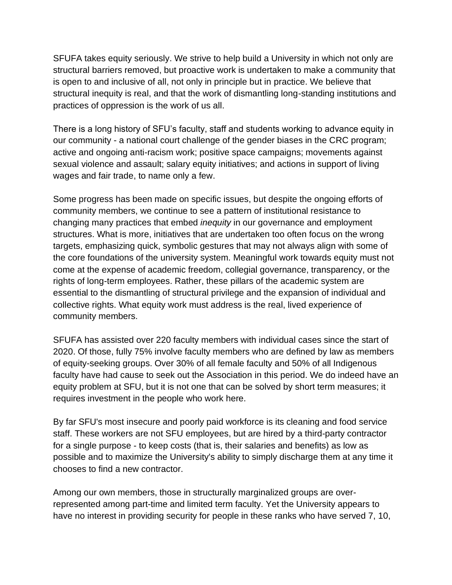SFUFA takes equity seriously. We strive to help build a University in which not only are structural barriers removed, but proactive work is undertaken to make a community that is open to and inclusive of all, not only in principle but in practice. We believe that structural inequity is real, and that the work of dismantling long-standing institutions and practices of oppression is the work of us all.

There is a long history of SFU's faculty, staff and students working to advance equity in our community - a national court challenge of the gender biases in the CRC program; active and ongoing anti-racism work; positive space campaigns; movements against sexual violence and assault; salary equity initiatives; and actions in support of living wages and fair trade, to name only a few.

Some progress has been made on specific issues, but despite the ongoing efforts of community members, we continue to see a pattern of institutional resistance to changing many practices that embed *inequity* in our governance and employment structures. What is more, initiatives that are undertaken too often focus on the wrong targets, emphasizing quick, symbolic gestures that may not always align with some of the core foundations of the university system. Meaningful work towards equity must not come at the expense of academic freedom, collegial governance, transparency, or the rights of long-term employees. Rather, these pillars of the academic system are essential to the dismantling of structural privilege and the expansion of individual and collective rights. What equity work must address is the real, lived experience of community members.

SFUFA has assisted over 220 faculty members with individual cases since the start of 2020. Of those, fully 75% involve faculty members who are defined by law as members of equity-seeking groups. Over 30% of all female faculty and 50% of all Indigenous faculty have had cause to seek out the Association in this period. We do indeed have an equity problem at SFU, but it is not one that can be solved by short term measures; it requires investment in the people who work here.

By far SFU's most insecure and poorly paid workforce is its cleaning and food service staff. These workers are not SFU employees, but are hired by a third-party contractor for a single purpose - to keep costs (that is, their salaries and benefits) as low as possible and to maximize the University's ability to simply discharge them at any time it chooses to find a new contractor.

Among our own members, those in structurally marginalized groups are overrepresented among part-time and limited term faculty. Yet the University appears to have no interest in providing security for people in these ranks who have served 7, 10,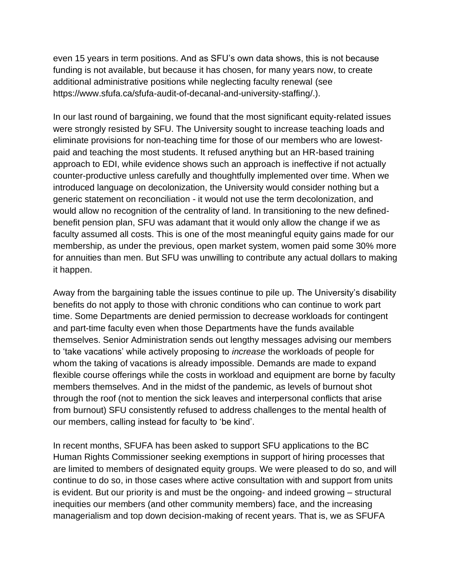even 15 years in term positions. And as SFU's own data shows, this is not because funding is not available, but because it has chosen, for many years now, to create additional administrative positions while neglecting faculty renewal (see https://www.sfufa.ca/sfufa-audit-of-decanal-and-university-staffing/.).

In our last round of bargaining, we found that the most significant equity-related issues were strongly resisted by SFU. The University sought to increase teaching loads and eliminate provisions for non-teaching time for those of our members who are lowestpaid and teaching the most students. It refused anything but an HR-based training approach to EDI, while evidence shows such an approach is ineffective if not actually counter-productive unless carefully and thoughtfully implemented over time. When we introduced language on decolonization, the University would consider nothing but a generic statement on reconciliation - it would not use the term decolonization, and would allow no recognition of the centrality of land. In transitioning to the new definedbenefit pension plan, SFU was adamant that it would only allow the change if we as faculty assumed all costs. This is one of the most meaningful equity gains made for our membership, as under the previous, open market system, women paid some 30% more for annuities than men. But SFU was unwilling to contribute any actual dollars to making it happen.

Away from the bargaining table the issues continue to pile up. The University's disability benefits do not apply to those with chronic conditions who can continue to work part time. Some Departments are denied permission to decrease workloads for contingent and part-time faculty even when those Departments have the funds available themselves. Senior Administration sends out lengthy messages advising our members to 'take vacations' while actively proposing to *increase* the workloads of people for whom the taking of vacations is already impossible. Demands are made to expand flexible course offerings while the costs in workload and equipment are borne by faculty members themselves. And in the midst of the pandemic, as levels of burnout shot through the roof (not to mention the sick leaves and interpersonal conflicts that arise from burnout) SFU consistently refused to address challenges to the mental health of our members, calling instead for faculty to 'be kind'.

In recent months, SFUFA has been asked to support SFU applications to the BC Human Rights Commissioner seeking exemptions in support of hiring processes that are limited to members of designated equity groups. We were pleased to do so, and will continue to do so, in those cases where active consultation with and support from units is evident. But our priority is and must be the ongoing- and indeed growing – structural inequities our members (and other community members) face, and the increasing managerialism and top down decision-making of recent years. That is, we as SFUFA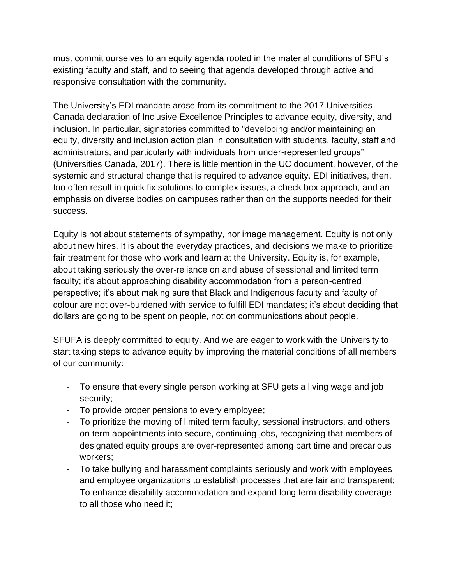must commit ourselves to an equity agenda rooted in the material conditions of SFU's existing faculty and staff, and to seeing that agenda developed through active and responsive consultation with the community.

The University's EDI mandate arose from its commitment to the 2017 Universities Canada declaration of Inclusive Excellence Principles to advance equity, diversity, and inclusion. In particular, signatories committed to "developing and/or maintaining an equity, diversity and inclusion action plan in consultation with students, faculty, staff and administrators, and particularly with individuals from under-represented groups" (Universities Canada, 2017). There is little mention in the UC document, however, of the systemic and structural change that is required to advance equity. EDI initiatives, then, too often result in quick fix solutions to complex issues, a check box approach, and an emphasis on diverse bodies on campuses rather than on the supports needed for their success.

Equity is not about statements of sympathy, nor image management. Equity is not only about new hires. It is about the everyday practices, and decisions we make to prioritize fair treatment for those who work and learn at the University. Equity is, for example, about taking seriously the over-reliance on and abuse of sessional and limited term faculty; it's about approaching disability accommodation from a person-centred perspective; it's about making sure that Black and Indigenous faculty and faculty of colour are not over-burdened with service to fulfill EDI mandates; it's about deciding that dollars are going to be spent on people, not on communications about people.

SFUFA is deeply committed to equity. And we are eager to work with the University to start taking steps to advance equity by improving the material conditions of all members of our community:

- To ensure that every single person working at SFU gets a living wage and job security;
- To provide proper pensions to every employee;
- To prioritize the moving of limited term faculty, sessional instructors, and others on term appointments into secure, continuing jobs, recognizing that members of designated equity groups are over-represented among part time and precarious workers;
- To take bullying and harassment complaints seriously and work with employees and employee organizations to establish processes that are fair and transparent;
- To enhance disability accommodation and expand long term disability coverage to all those who need it;